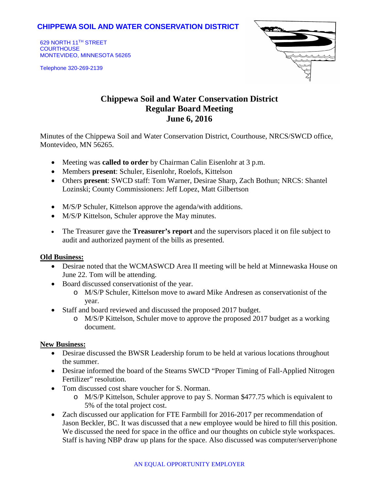## **CHIPPEWA SOIL AND WATER CONSERVATION DISTRICT**

629 NORTH 11TH STREET **COURTHOUSE** MONTEVIDEO, MINNESOTA 56265

Telephone 320-269-2139



# **Chippewa Soil and Water Conservation District Regular Board Meeting June 6, 2016**

Minutes of the Chippewa Soil and Water Conservation District, Courthouse, NRCS/SWCD office, Montevideo, MN 56265.

- Meeting was **called to order** by Chairman Calin Eisenlohr at 3 p.m.
- Members **present**: Schuler, Eisenlohr, Roelofs, Kittelson
- Others **present**: SWCD staff: Tom Warner, Desirae Sharp, Zach Bothun; NRCS: Shantel Lozinski; County Commissioners: Jeff Lopez, Matt Gilbertson
- M/S/P Schuler, Kittelson approve the agenda/with additions.
- M/S/P Kittelson, Schuler approve the May minutes.
- The Treasurer gave the **Treasurer's report** and the supervisors placed it on file subject to audit and authorized payment of the bills as presented.

#### **Old Business:**

- Desirae noted that the WCMASWCD Area II meeting will be held at Minnewaska House on June 22. Tom will be attending.
- Board discussed conservationist of the year.
	- o M/S/P Schuler, Kittelson move to award Mike Andresen as conservationist of the year.
- Staff and board reviewed and discussed the proposed 2017 budget.
	- o M/S/P Kittelson, Schuler move to approve the proposed 2017 budget as a working document.

#### **New Business:**

- Desirae discussed the BWSR Leadership forum to be held at various locations throughout the summer.
- Desirae informed the board of the Stearns SWCD "Proper Timing of Fall-Applied Nitrogen Fertilizer" resolution.
- Tom discussed cost share voucher for S. Norman.
	- o M/S/P Kittelson, Schuler approve to pay S. Norman \$477.75 which is equivalent to 5% of the total project cost.
- Zach discussed our application for FTE Farmbill for 2016-2017 per recommendation of Jason Beckler, BC. It was discussed that a new employee would be hired to fill this position. We discussed the need for space in the office and our thoughts on cubicle style workspaces. Staff is having NBP draw up plans for the space. Also discussed was computer/server/phone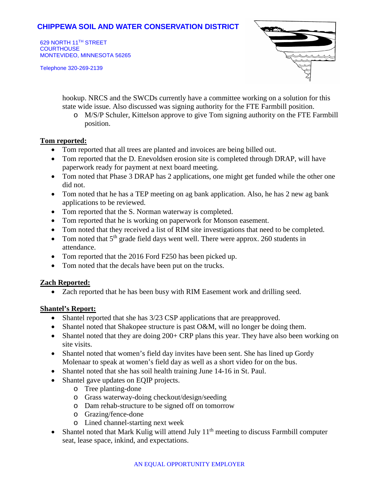## **CHIPPEWA SOIL AND WATER CONSERVATION DISTRICT**

629 NORTH 11TH STREET **COURTHOUSE** MONTEVIDEO, MINNESOTA 56265

Telephone 320-269-2139



hookup. NRCS and the SWCDs currently have a committee working on a solution for this state wide issue. Also discussed was signing authority for the FTE Farmbill position.

o M/S/P Schuler, Kittelson approve to give Tom signing authority on the FTE Farmbill position.

#### **Tom reported:**

- Tom reported that all trees are planted and invoices are being billed out.
- Tom reported that the D. Enevoldsen erosion site is completed through DRAP, will have paperwork ready for payment at next board meeting.
- Tom noted that Phase 3 DRAP has 2 applications, one might get funded while the other one did not.
- Tom noted that he has a TEP meeting on ag bank application. Also, he has 2 new ag bank applications to be reviewed.
- Tom reported that the S. Norman waterway is completed.
- Tom reported that he is working on paperwork for Monson easement.
- Tom noted that they received a list of RIM site investigations that need to be completed.
- Tom noted that  $5<sup>th</sup>$  grade field days went well. There were approx. 260 students in attendance.
- Tom reported that the 2016 Ford F250 has been picked up.
- Tom noted that the decals have been put on the trucks.

#### **Zach Reported:**

• Zach reported that he has been busy with RIM Easement work and drilling seed.

#### **Shantel's Report:**

- Shantel reported that she has  $3/23$  CSP applications that are preapproved.
- Shantel noted that Shakopee structure is past O&M, will no longer be doing them.
- Shantel noted that they are doing 200+ CRP plans this year. They have also been working on site visits.
- Shantel noted that women's field day invites have been sent. She has lined up Gordy Molenaar to speak at women's field day as well as a short video for on the bus.
- Shantel noted that she has soil health training June 14-16 in St. Paul.
- Shantel gave updates on EQIP projects.
	- o Tree planting-done
	- o Grass waterway-doing checkout/design/seeding
	- o Dam rehab-structure to be signed off on tomorrow
	- o Grazing/fence-done
	- o Lined channel-starting next week
- Shantel noted that Mark Kulig will attend July  $11<sup>th</sup>$  meeting to discuss Farmbill computer seat, lease space, inkind, and expectations.